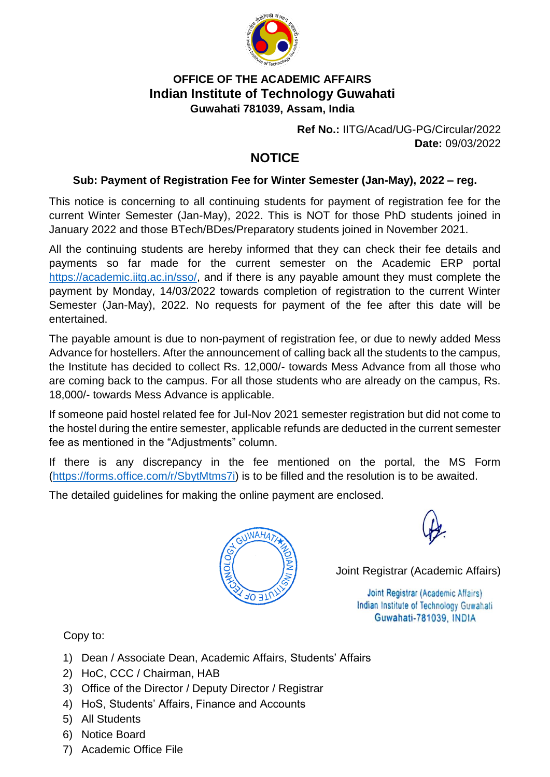

## **OFFICE OF THE ACADEMIC AFFAIRS Indian Institute of Technology Guwahati Guwahati 781039, Assam, India**

**Ref No.:** IITG/Acad/UG-PG/Circular/2022 **Date:** 09/03/2022

## **NOTICE**

## **Sub: Payment of Registration Fee for Winter Semester (Jan-May), 2022 – reg.**

This notice is concerning to all continuing students for payment of registration fee for the current Winter Semester (Jan-May), 2022. This is NOT for those PhD students joined in January 2022 and those BTech/BDes/Preparatory students joined in November 2021.

All the continuing students are hereby informed that they can check their fee details and payments so far made for the current semester on the Academic ERP portal [https://academic.iitg.ac.in/sso/,](https://academic.iitg.ac.in/sso/) and if there is any payable amount they must complete the payment by Monday, 14/03/2022 towards completion of registration to the current Winter Semester (Jan-May), 2022. No requests for payment of the fee after this date will be entertained.

The payable amount is due to non-payment of registration fee, or due to newly added Mess Advance for hostellers. After the announcement of calling back all the students to the campus, the Institute has decided to collect Rs. 12,000/- towards Mess Advance from all those who are coming back to the campus. For all those students who are already on the campus, Rs. 18,000/- towards Mess Advance is applicable.

If someone paid hostel related fee for Jul-Nov 2021 semester registration but did not come to the hostel during the entire semester, applicable refunds are deducted in the current semester fee as mentioned in the "Adjustments" column.

If there is any discrepancy in the fee mentioned on the portal, the MS Form [\(https://forms.office.com/r/SbytMtms7i\)](https://forms.office.com/r/SbytMtms7i) is to be filled and the resolution is to be awaited.

The detailed guidelines for making the online payment are enclosed.



Joint Registrar (Academic Affairs)

Joint Registrar (Academic Affairs) Indian Institute of Technology Guwahati Guwahati-781039, INDIA

Copy to:

- 1) Dean / Associate Dean, Academic Affairs, Students' Affairs
- 2) HoC, CCC / Chairman, HAB
- 3) Office of the Director / Deputy Director / Registrar
- 4) HoS, Students' Affairs, Finance and Accounts
- 5) All Students
- 6) Notice Board
- 7) Academic Office File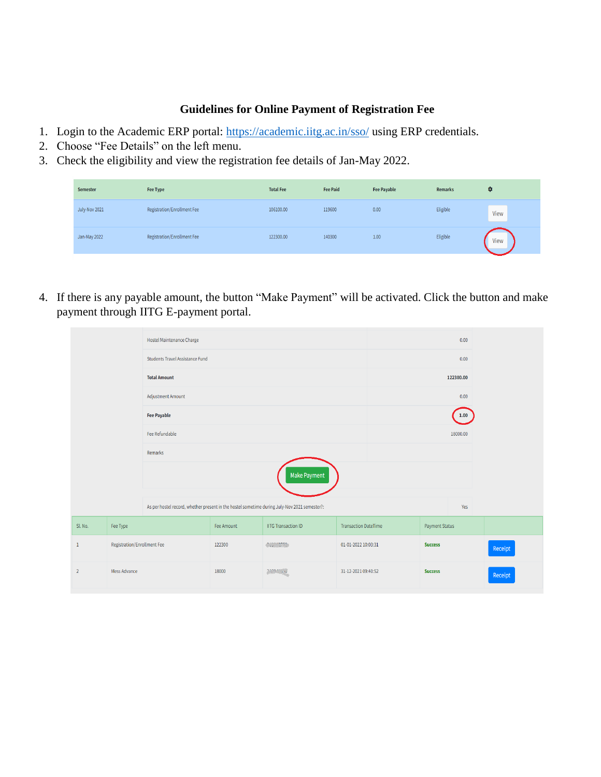## **Guidelines for Online Payment of Registration Fee**

- 1. Login to the Academic ERP portal:<https://academic.iitg.ac.in/sso/> using ERP credentials.
- 2. Choose "Fee Details" on the left menu.
- 3. Check the eligibility and view the registration fee details of Jan-May 2022.

| <b>Semester</b> | <b>Fee Type</b>             | <b>Total Fee</b> | <b>Fee Paid</b> | <b>Fee Payable</b> | <b>Remarks</b> | о    |
|-----------------|-----------------------------|------------------|-----------------|--------------------|----------------|------|
| July-Nov 2021   | Registration/Enrollment Fee | 106100.00        | 119600          | 0.00               | Eligible       | View |
| Jan-May 2022    | Registration/Enrollment Fee | 122300.00        | 140300          | 1.00               | Eligible       | View |

4. If there is any payable amount, the button "Make Payment" will be activated. Click the button and make payment through IITG E-payment portal.

|                     |                             | Hostel Maintenance Charge                                                                    |            |                            |                             |                       | 0.00 |         |
|---------------------|-----------------------------|----------------------------------------------------------------------------------------------|------------|----------------------------|-----------------------------|-----------------------|------|---------|
|                     |                             | Students Travel Assistance Fund                                                              |            |                            |                             |                       | 0.00 |         |
| <b>Total Amount</b> |                             |                                                                                              |            | 122300.00                  |                             |                       |      |         |
| Adjustment Amount   |                             |                                                                                              |            |                            |                             | 0.00                  |      |         |
| <b>Fee Payable</b>  |                             |                                                                                              |            |                            | 1.00                        |                       |      |         |
| Fee Refundable      |                             |                                                                                              |            | 18000.00                   |                             |                       |      |         |
|                     |                             | Remarks                                                                                      |            |                            |                             |                       |      |         |
|                     |                             |                                                                                              |            | Make Payment               |                             |                       |      |         |
|                     |                             |                                                                                              |            |                            |                             |                       |      |         |
|                     |                             | As per hostel record, whether present in the hostel sometime during July-Nov 2021 semester?: |            |                            |                             |                       | Yes  |         |
| Sl. No.             | Fee Type                    |                                                                                              | Fee Amount | <b>IITG Transaction ID</b> | <b>Transaction DateTime</b> | <b>Payment Status</b> |      |         |
| $\mathbf{1}$        | Registration/Enrollment Fee |                                                                                              | 122300     | Cast from                  | 01-01-2022 10:03:31         | <b>Success</b>        |      | Receipt |
| $\overline{2}$      | Mess Advance                |                                                                                              | 18000      | 232947.900                 | 31-12-2021 09:40:52         | <b>Success</b>        |      | Receipt |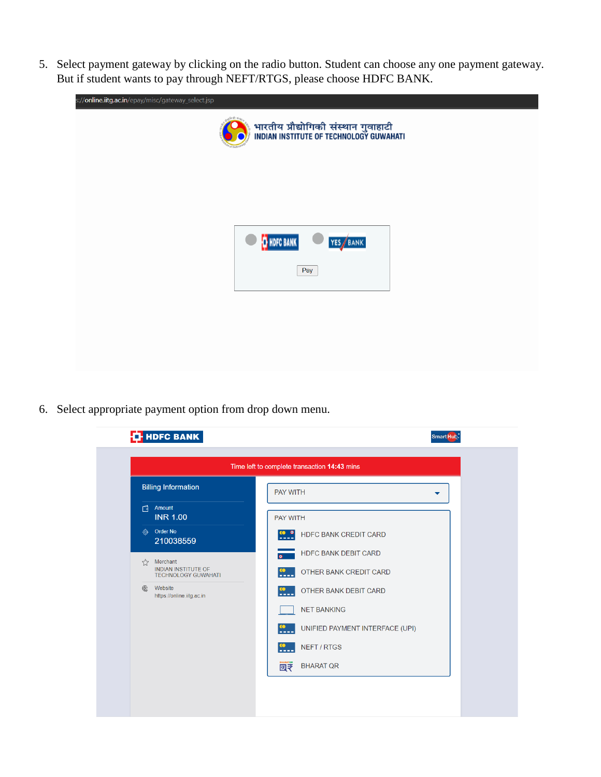5. Select payment gateway by clicking on the radio button. Student can choose any one payment gateway. But if student wants to pay through NEFT/RTGS, please choose HDFC BANK.

| s:// <b>online.iitg.ac.in</b> /epay/misc/gateway_select.jsp |                                                                                              |  |
|-------------------------------------------------------------|----------------------------------------------------------------------------------------------|--|
|                                                             | Black Hay<br>भारतीय प्रौद्योगिकी संस्थान गुवाहाटी<br>INDIAN INSTITUTE OF TECHNOLOGY GUWAHATI |  |
|                                                             |                                                                                              |  |
|                                                             |                                                                                              |  |
|                                                             | <b>T</b> HDFC BANK<br>YES BANK                                                               |  |
|                                                             | Pay                                                                                          |  |
|                                                             |                                                                                              |  |
|                                                             |                                                                                              |  |

6. Select appropriate payment option from drop down menu.

| Time left to complete transaction 14:43 mins                         |                                                            |  |  |
|----------------------------------------------------------------------|------------------------------------------------------------|--|--|
| <b>Billing Information</b>                                           | <b>PAY WITH</b>                                            |  |  |
| Amount<br>门<br><b>INR 1.00</b>                                       | <b>PAY WITH</b>                                            |  |  |
| Order No<br>◈<br>210038559                                           | <b>HDFC BANK CREDIT CARD</b><br>----                       |  |  |
| $\lesssim$                                                           | <b>HDFC BANK DEBIT CARD</b>                                |  |  |
| Merchant<br><b>INDIAN INSTITUTE OF</b><br><b>TECHNOLOGY GUWAHATI</b> | OTHER BANK CREDIT CARD<br>$\frac{1}{1}$                    |  |  |
| Website<br>https://online.iitg.ac.in                                 | $\frac{\omega}{\omega}$<br>OTHER BANK DEBIT CARD           |  |  |
|                                                                      | <b>NET BANKING</b>                                         |  |  |
|                                                                      | UNIFIED PAYMENT INTERFACE (UPI)<br>$\frac{\omega}{\omega}$ |  |  |
|                                                                      | <b>NEFT / RTGS</b><br>----                                 |  |  |
|                                                                      | <b>BHARATOR</b><br><b>BHARAT QR</b><br>図字                  |  |  |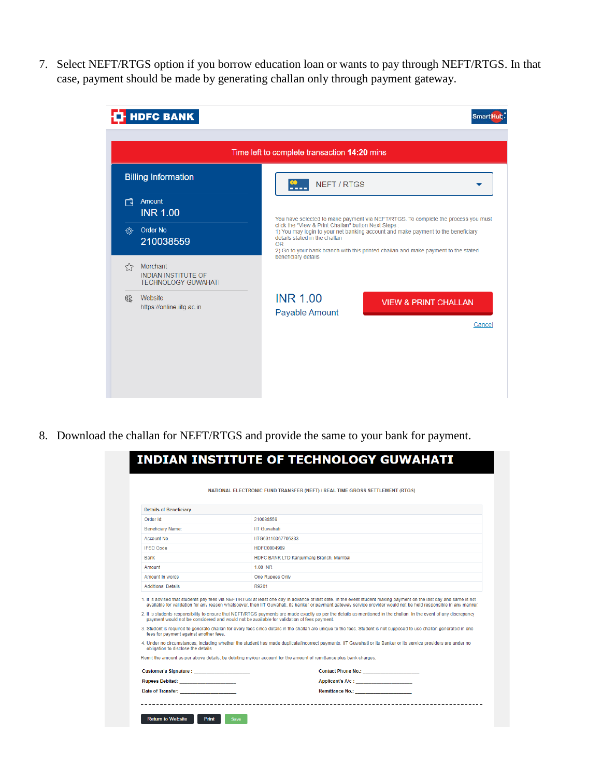7. Select NEFT/RTGS option if you borrow education loan or wants to pay through NEFT/RTGS. In that case, payment should be made by generating challan only through payment gateway.

|    | <b>HDFC BANK</b>                                                     | <b>Smart Hub</b>                                                                                                                                                                                                                                                     |
|----|----------------------------------------------------------------------|----------------------------------------------------------------------------------------------------------------------------------------------------------------------------------------------------------------------------------------------------------------------|
|    |                                                                      | Time left to complete transaction 14:20 mins                                                                                                                                                                                                                         |
|    | <b>Billing Information</b>                                           | œ<br><b>NEFT/RTGS</b><br>----                                                                                                                                                                                                                                        |
| 门  | <b>Amount</b><br><b>INR 1.00</b>                                     | You have selected to make payment via NEFT/RTGS. To complete the process you must                                                                                                                                                                                    |
|    | <b>Order No</b><br>210038559                                         | click the "View & Print Challan" button Next Steps:<br>1) You may login to your net banking account and make payment to the beneficiary<br>details stated in the challan<br>OR<br>2) Go to your bank branch with this printed challan and make payment to the stated |
| 52 | Merchant<br><b>INDIAN INSTITUTE OF</b><br><b>TECHNOLOGY GUWAHATI</b> | beneficiary details                                                                                                                                                                                                                                                  |
| ⊕  | Website<br>https://online.iitg.ac.in                                 | <b>INR 1.00</b><br><b>VIEW &amp; PRINT CHALLAN</b><br>Payable Amount<br>Cancel                                                                                                                                                                                       |
|    |                                                                      |                                                                                                                                                                                                                                                                      |
|    |                                                                      |                                                                                                                                                                                                                                                                      |

8. Download the challan for NEFT/RTGS and provide the same to your bank for payment.

|                                                                                                                                                                                                                                | NATIONAL ELECTRONIC FUND TRANSFER (NEFT) / REAL TIME GROSS SETTLEMENT (RTGS)                                                                                                                                                                                                                                                                                                                                                                                                                                                                                                                                   |
|--------------------------------------------------------------------------------------------------------------------------------------------------------------------------------------------------------------------------------|----------------------------------------------------------------------------------------------------------------------------------------------------------------------------------------------------------------------------------------------------------------------------------------------------------------------------------------------------------------------------------------------------------------------------------------------------------------------------------------------------------------------------------------------------------------------------------------------------------------|
| <b>Details of Beneficiary</b>                                                                                                                                                                                                  |                                                                                                                                                                                                                                                                                                                                                                                                                                                                                                                                                                                                                |
| Order Id:                                                                                                                                                                                                                      | 210038559                                                                                                                                                                                                                                                                                                                                                                                                                                                                                                                                                                                                      |
| Beneficiary Name:                                                                                                                                                                                                              | <b>IIT Guwahati</b>                                                                                                                                                                                                                                                                                                                                                                                                                                                                                                                                                                                            |
| Account No                                                                                                                                                                                                                     | IITG63110367705333                                                                                                                                                                                                                                                                                                                                                                                                                                                                                                                                                                                             |
| <b>IFSC Code</b>                                                                                                                                                                                                               | HDFC0004989                                                                                                                                                                                                                                                                                                                                                                                                                                                                                                                                                                                                    |
| <b>Bank</b>                                                                                                                                                                                                                    | HDFC BANK LTD Kanjurmarg Branch, Mumbai                                                                                                                                                                                                                                                                                                                                                                                                                                                                                                                                                                        |
| Amount                                                                                                                                                                                                                         | 1.00 INR                                                                                                                                                                                                                                                                                                                                                                                                                                                                                                                                                                                                       |
| Amount In words                                                                                                                                                                                                                | <b>One Rupees Only</b>                                                                                                                                                                                                                                                                                                                                                                                                                                                                                                                                                                                         |
| <b>Additional Details</b>                                                                                                                                                                                                      | R9201                                                                                                                                                                                                                                                                                                                                                                                                                                                                                                                                                                                                          |
|                                                                                                                                                                                                                                | 1. It is advised that students pay fees via NEFT/RTGS at least one day in advance of last date. In the event student making payment on the last day and same is not<br>available for validation for any reason whatsoever, then IIT Guwahati, its banker or payment gateway service provider would not be held responsible in any manner,<br>2. It is students responsibility to ensure that NEFT/RTGS payments are made exactly as per the details as mentioned in the challan. In the event of any discrepancy<br>payment would not be considered and would not be available for validation of fees payment. |
| fees for payment against another fees.                                                                                                                                                                                         | 3. Student is required to generate challan for every fees since details in the challan are unique to the fees. Student is not supposed to use challan generated in one                                                                                                                                                                                                                                                                                                                                                                                                                                         |
| obligation to disclose the details                                                                                                                                                                                             | 4. Under no circumstances, including whether the student has made duplicate/incorrect payments. IIT Guwahati or its Banker or its service providers are under no                                                                                                                                                                                                                                                                                                                                                                                                                                               |
|                                                                                                                                                                                                                                | Remit the amount as per above details, by debiting my/our account for the amount of remittance plus bank charges.                                                                                                                                                                                                                                                                                                                                                                                                                                                                                              |
| Customer's Signature :                                                                                                                                                                                                         | <b>Contact Phone No.: Contact Phone No.:</b>                                                                                                                                                                                                                                                                                                                                                                                                                                                                                                                                                                   |
| <b>Rupees Debited: CONSTANTS</b>                                                                                                                                                                                               | Applicant's A/c:                                                                                                                                                                                                                                                                                                                                                                                                                                                                                                                                                                                               |
| Date of Transfer: and the control of the control of the control of the control of the control of the control of the control of the control of the control of the control of the control of the control of the control of the c | Remittance No.: _____________________                                                                                                                                                                                                                                                                                                                                                                                                                                                                                                                                                                          |